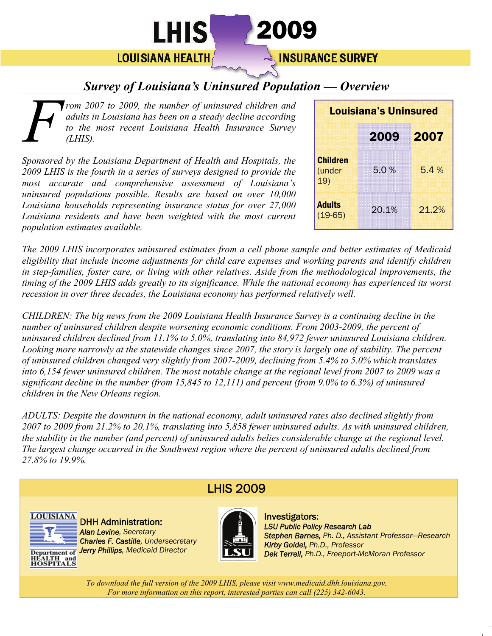LHIS 2009**LOUISIANA HEALTH INSURANCE SURVEY** 

# *Survey of Louisiana's Uninsured Population — Overview*

**From 2007 to 2009, the number of uninsured children and adults in Louisiana has been on a steady decline according to the most recent Louisiana Health Insurance Survey (LHIS).** *adults in Louisiana has been on a steady decline according to the most recent Louisiana Health Insurance Survey (LHIS).* 

*Sponsored by the Louisiana Department of Health and Hospitals, the 2009 LHIS is the fourth in a series of surveys designed to provide the most accurate and comprehensive assessment of Louisiana's uninsured populations possible. Results are based on over 10,000 Louisiana households representing insurance status for over 27,000*  Louisiana residents and have been weighted with the most current *population estimates available.* 

| <b>Louisiana's Uninsured</b>     |       |       |
|----------------------------------|-------|-------|
|                                  | 2009  | 2007  |
| <b>Children</b><br>(under<br>19) | 5.0%  | 5.4%  |
| <b>Adults</b><br>$(19-65)$       | 20.1% | 21.2% |

*The 2009 LHIS incorporates uninsured estimates from a cell phone sample and better estimates of Medicaid eligibility that include income adjustments for child care expenses and working parents and identify children in step-families, foster care, or living with other relatives. Aside from the methodological improvements, the timing of the 2009 LHIS adds greatly to its significance. While the national economy has experienced its worst recession in over three decades, the Louisiana economy has performed relatively well.* 

*CHILDREN: The big news from the 2009 Louisiana Health Insurance Survey is a continuing decline in the number of uninsured children despite worsening economic conditions. From 2003-2009, the percent of uninsured children declined from 11.1% to 5.0%, translating into 84,972 fewer uninsured Louisiana children. Looking more narrowly at the statewide changes since 2007, the story is largely one of stability. The percent of uninsured children changed very slightly from 2007-2009, declining from 5.4% to 5.0% which translates into 6,154 fewer uninsured children. The most notable change at the regional level from 2007 to 2009 was a significant decline in the number (from 15,845 to 12,111) and percent (from 9.0% to 6.3%) of uninsured children in the New Orleans region.* 

*ADULTS: Despite the downturn in the national economy, adult uninsured rates also declined slightly from 2007 to 2009 from 21.2% to 20.1%, translating into 5,858 fewer uninsured adults. As with uninsured children, the stability in the number (and percent) of uninsured adults belies considerable change at the regional level. The largest change occurred in the Southwest region where the percent of uninsured adults declined from 27.8% to 19.9%.* 

## LHIS 2009



DHH Administration: *Alan Levine, Secretary Charles F. Castille, Undersecretary Jerry Phillips, Medicaid Director* HEALTH and<br>HEALTH and<br>**HOSPITALS** 



Investigators: *LSU Public Policy Research Lab Stephen Barnes, Ph. D., Assistant Professor—Research Kirby Goidel, Ph.D., Professor Dek Terrell, Ph.D., Freeport-McMoran Professor* 

*To download the full version of the 2009 LHIS, please visit www.medicaid.dhh.louisiana.gov. For more information on this report, interested parties can call (225) 342-6043.*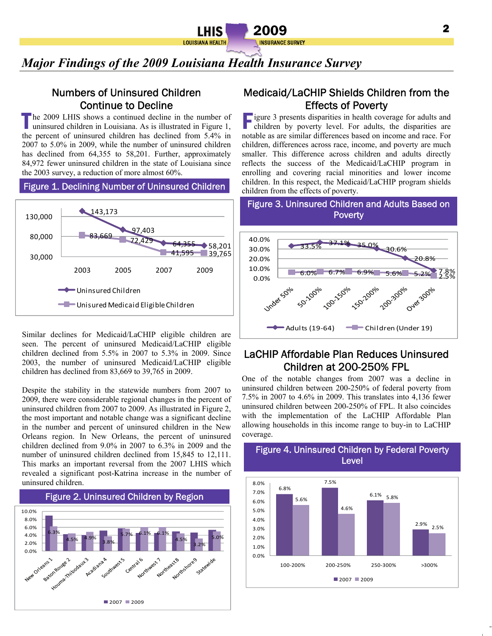*Major Findings of the 2009 Louisiana Health Insurance Survey* 

### Numbers of Uninsured Children Continue to Decline

The 2009 LHIS shows a continued decline in the number of uninsured children in Louisiana. As is illustrated in Figure 1 uninsured children in Louisiana. As is illustrated in Figure 1, the percent of uninsured children has declined from 5.4% in 2007 to 5.0% in 2009, while the number of uninsured children has declined from 64,355 to 58,201. Further, approximately 84,972 fewer uninsured children in the state of Louisiana since the 2003 survey, a reduction of more almost 60%.

Figure 1. Declining Number of Uninsured Children



Similar declines for Medicaid/LaCHIP eligible children are seen. The percent of uninsured Medicaid/LaCHIP eligible children declined from 5.5% in 2007 to 5.3% in 2009. Since 2003, the number of uninsured Medicaid/LaCHIP eligible children has declined from 83,669 to 39,765 in 2009.

Despite the stability in the statewide numbers from 2007 to 2009, there were considerable regional changes in the percent of uninsured children from 2007 to 2009. As illustrated in Figure 2, the most important and notable change was a significant decline in the number and percent of uninsured children in the New Orleans region. In New Orleans, the percent of uninsured children declined from 9.0% in 2007 to 6.3% in 2009 and the number of uninsured children declined from 15,845 to 12,111. This marks an important reversal from the 2007 LHIS which revealed a significant post-Katrina increase in the number of uninsured children.



### Medicaid/LaCHIP Shields Children from the Effects of Poverty

Figure 3 presents disparities in health coverage for adults and children by poverty level. For adults, the disparities are notable as are similar differences based on income and race. For children, differences across race, income, and poverty are much smaller. This difference across children and adults directly reflects the success of the Medicaid/LaCHIP program in enrolling and covering racial minorities and lower income children. In this respect, the Medicaid/LaCHIP program shields children from the effects of poverty.



### LaCHIP Affordable Plan Reduces Uninsured Children at 200-250% FPL

One of the notable changes from 2007 was a decline in uninsured children between 200-250% of federal poverty from 7.5% in 2007 to 4.6% in 2009. This translates into 4,136 fewer uninsured children between 200-250% of FPL. It also coincides with the implementation of the LaCHIP Affordable Plan allowing households in this income range to buy-in to LaCHIP coverage.



#### Figure 4. Uninsured Children by Federal Poverty Level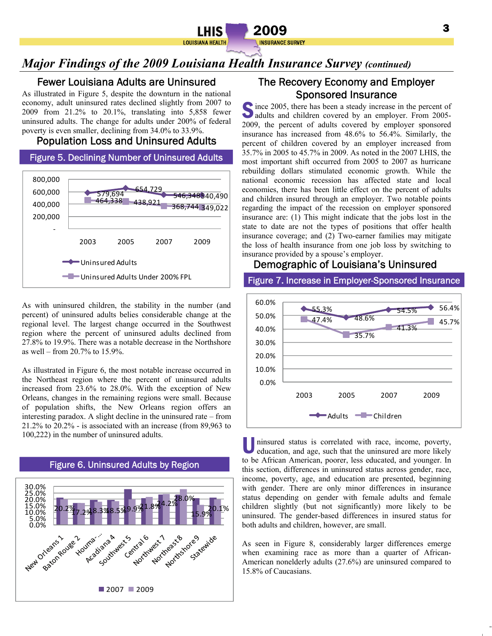

## *Major Findings of the 2009 Louisiana Health Insurance Survey (continued)*

#### Fewer Louisiana Adults are Uninsured

As illustrated in Figure 5, despite the downturn in the national economy, adult uninsured rates declined slightly from 2007 to 2009 from 21.2% to 20.1%, translating into 5,858 fewer uninsured adults. The change for adults under 200% of federal poverty is even smaller, declining from 34.0% to 33.9%.

#### Population Loss and Uninsured Adults



As with uninsured children, the stability in the number (and percent) of uninsured adults belies considerable change at the regional level. The largest change occurred in the Southwest region where the percent of uninsured adults declined from 27.8% to 19.9%. There was a notable decrease in the Northshore as well – from 20.7% to 15.9%.

As illustrated in Figure 6, the most notable increase occurred in the Northeast region where the percent of uninsured adults increased from 23.6% to 28.0%. With the exception of New Orleans, changes in the remaining regions were small. Because of population shifts, the New Orleans region offers an interesting paradox. A slight decline in the uninsured rate – from 21.2% to 20.2% - is associated with an increase (from 89,963 to 100,222) in the number of uninsured adults.



## The Recovery Economy and Employer Sponsored Insurance

since 2005, there has been a steady increase in the percent of adults and children covered by an employer. From 2005-2009, the percent of adults covered by employer sponsored insurance has increased from 48.6% to 56.4%. Similarly, the percent of children covered by an employer increased from 35.7% in 2005 to 45.7% in 2009. As noted in the 2007 LHIS, the most important shift occurred from 2005 to 2007 as hurricane rebuilding dollars stimulated economic growth. While the national economic recession has affected state and local economies, there has been little effect on the percent of adults and children insured through an employer. Two notable points regarding the impact of the recession on employer sponsored insurance are: (1) This might indicate that the jobs lost in the state to date are not the types of positions that offer health insurance coverage; and (2) Two-earner families may mitigate the loss of health insurance from one job loss by switching to insurance provided by a spouse's employer.

#### Demographic of Louisiana's Uninsured

#### Figure 7. Increase in Employer-Sponsored Insurance



ninsured status is correlated with race, income, poverty, education, and age, such that the uninsured are more likely to be African American, poorer, less educated, and younger. In this section, differences in uninsured status across gender, race, income, poverty, age, and education are presented, beginning with gender. There are only minor differences in insurance status depending on gender with female adults and female children slightly (but not significantly) more likely to be uninsured. The gender-based differences in insured status for both adults and children, however, are small.

As seen in Figure 8, considerably larger differences emerge when examining race as more than a quarter of African-American nonelderly adults (27.6%) are uninsured compared to 15.8% of Caucasians.